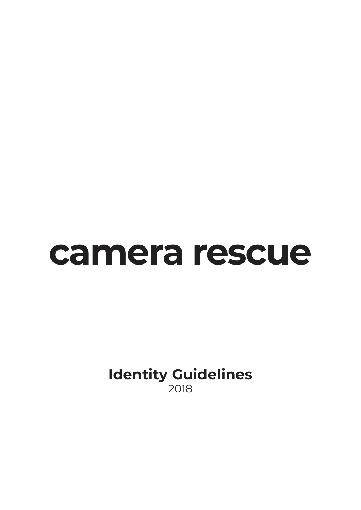## **camera rescue**

**Identity Guidelines** 2018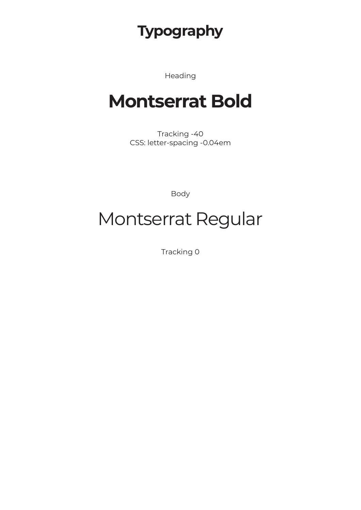#### **Typography**

Heading

### **Montserrat Bold**

Tracking -40 CSS: letter-spacing -0.04em

Body

## Montserrat Regular

Tracking 0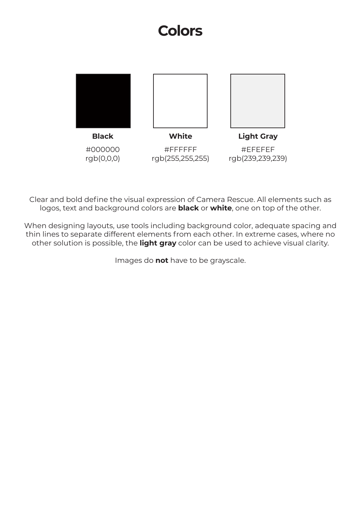#### **Colors**



Clear and bold define the visual expression of Camera Rescue. All elements such as logos, text and background colors are **black** or **white**, one on top of the other.

When designing layouts, use tools including background color, adequate spacing and thin lines to separate different elements from each other. In extreme cases, where no other solution is possible, the **light gray** color can be used to achieve visual clarity.

Images do **not** have to be grayscale.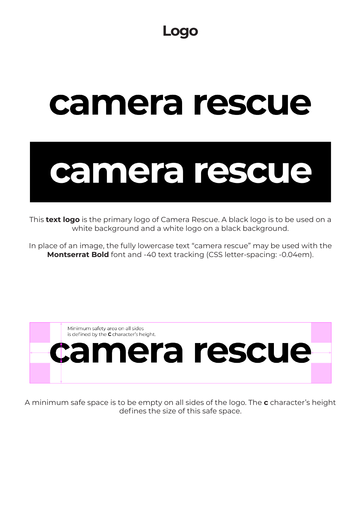# camera rescue



This **text logo** is the primary logo of Camera Rescue. A black logo is to be used on a white background and a white logo on a black background.

In place of an image, the fully lowercase text "camera rescue" may be used with the **Montserrat Bold** font and -40 text tracking (CSS letter-spacing: -0.04em).



A minimum safe space is to be empty on all sides of the logo. The **c** character's height defines the size of this safe space.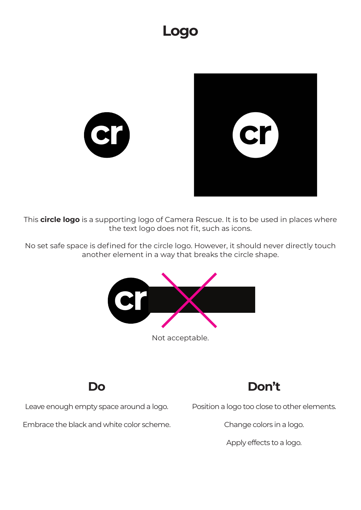#### **Logo**





No set safe space is defined for the circle logo. However, it should never directly touch another element in a way that breaks the circle shape.



Not acceptable.

**Do**

Leave enough empty space around a logo.



Position a logo too close to other elements.

Embrace the black and white color scheme.

Change colors in a logo.

Apply effects to a logo.